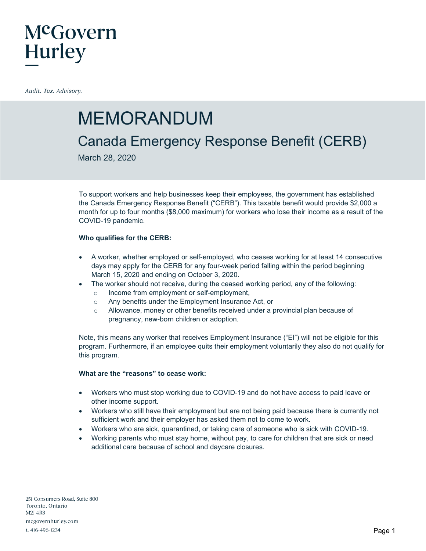# McGovern **Hurley**

Audit. Tax. Advisory.

## MEMORANDUM

### Canada Emergency Response Benefit (CERB)

March 28, 2020

To support workers and help businesses keep their employees, the government has established the Canada Emergency Response Benefit ("CERB"). This taxable benefit would provide \$2,000 a month for up to four months (\$8,000 maximum) for workers who lose their income as a result of the COVID-19 pandemic.

### **Who qualifies for the CERB:**

- A worker, whether employed or self-employed, who ceases working for at least 14 consecutive days may apply for the CERB for any four-week period falling within the period beginning March 15, 2020 and ending on October 3, 2020.
- The worker should not receive, during the ceased working period, any of the following:
	- o Income from employment or self-employment,
	- o Any benefits under the Employment Insurance Act, or
	- o Allowance, money or other benefits received under a provincial plan because of pregnancy, new-born children or adoption.

Note, this means any worker that receives Employment Insurance ("EI") will not be eligible for this program. Furthermore, if an employee quits their employment voluntarily they also do not qualify for this program.

### **What are the "reasons" to cease work:**

- Workers who must stop working due to COVID-19 and do not have access to paid leave or other income support.
- Workers who still have their employment but are not being paid because there is currently not sufficient work and their employer has asked them not to come to work.
- Workers who are sick, quarantined, or taking care of someone who is sick with COVID-19.
- Working parents who must stay home, without pay, to care for children that are sick or need additional care because of school and daycare closures.

251 Consumers Road, Suite 800 Toronto, Ontario **M2I 4R3** mcgovernhurley.com t. 416-496-1234